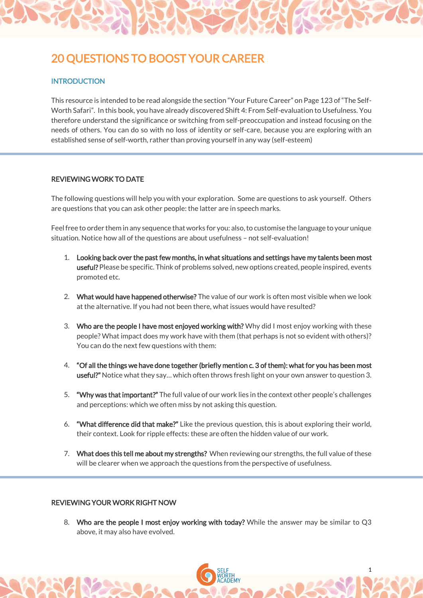# 20 QUESTIONS TO BOOST YOUR CAREER

## **INTRODUCTION**

This resource is intended to be read alongside the section "Your Future Career" on Page 123 of "The Self-Worth Safari". In this book, you have already discovered Shift 4: From Self-evaluation to Usefulness. You therefore understand the significance or switching from self-preoccupation and instead focusing on the needs of others. You can do so with no loss of identity or self-care, because you are exploring with an established sense of self-worth, rather than proving yourself in any way (self-esteem)

### REVIEWING WORK TO DATE

The following questions will help you with your exploration. Some are questions to ask yourself. Others are questions that you can ask other people: the latter are in speech marks.

Feel free to order them in any sequence that works for you: also, to customise the language to your unique situation. Notice how all of the questions are about usefulness – not self-evaluation!

- 1. Looking back over the past few months, in what situations and settings have my talents been most useful? Please be specific. Think of problems solved, new options created, people inspired, events promoted etc.
- 2. What would have happened otherwise? The value of our work is often most visible when we look at the alternative. If you had not been there, what issues would have resulted?
- 3. Who are the people I have most enjoyed working with? Why did I most enjoy working with these people? What impact does my work have with them (that perhaps is not so evident with others)? You can do the next few questions with them:
- 4. "Of all the things we have done together (briefly mention c. 3 of them): what for you has been most useful?" Notice what they say… which often throws fresh light on your own answer to question 3.
- 5. "Why was that important?" The full value of our work lies in the context other people's challenges and perceptions: which we often miss by not asking this question.
- 6. "What difference did that make?" Like the previous question, this is about exploring their world, their context. Look for ripple effects: these are often the hidden value of our work.
- 7. What does this tell me about my strengths? When reviewing our strengths, the full value of these will be clearer when we approach the questions from the perspective of usefulness.

### REVIEWING YOUR WORK RIGHT NOW

8. Who are the people I most enjoy working with today? While the answer may be similar to Q3 above, it may also have evolved.

1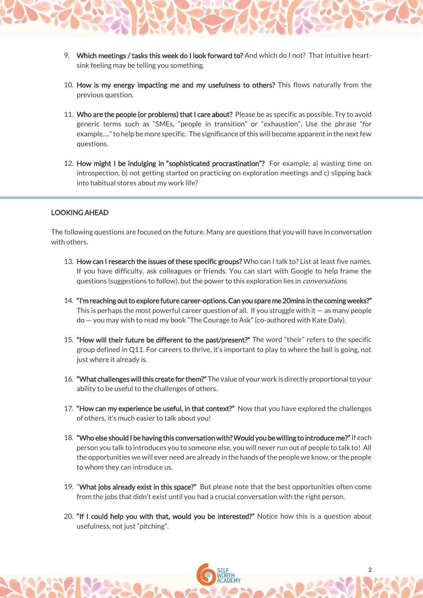- 9. Which meetings / tasks this week do I look forward to? And which do I not? That intuitive heartsink feeling may be telling you something.
- 10. How is my energy impacting me and my usefulness to others? This flows naturally from the previous question.
- 11. Who are the people (or problems) that I care about? Please be as specific as possible. Try to avoid generic terms such as "SMEs, "people in transition" or "exhaustion". Use the phrase "for example…." to help be more specific. The significance of this will become apparent in the next few questions.
- 12. How might I be indulging in "sophisticated procrastination"? For example, a) wasting time on introspection, b) not getting started on practicing on exploration meetings and c) slipping back into habitual stores about my work life?

## LOOKING AHEAD

The following questions are focused on the future. Many are questions that you will have in conversation with others.

- 13. How can I research the issues of these specific groups? Who can I talk to? List at least five names. If you have difficulty, ask colleagues or friends. You can start with Google to help frame the questions (suggestions to follow), but the power to this exploration lies in *conversations*.
- 14. "I'm reaching out to explore future career-options. Can you spare me 20mins in the coming weeks?" This is perhaps the most powerful career question of all. If you struggle with it  $-$  as many people do — you may wish to read my book "The Courage to Ask" (co-authored with Kate Daly).
- 15. "How will their future be different to the past/present?" The word "their" refers to the specific group defined in Q11. For careers to thrive, it's important to play to where the ball is going, not just where it already is.
- 16. "What challenges will this create for them?" The value of your work is directly proportional to your ability to be useful to the challenges of others.
- 17. "How can my experience be useful, in that context?" Now that you have explored the challenges of others, it's much easier to talk about you!
- 18. "Who else should I be having this conversation with? Would you be willing to introduce me?" If each person you talk to introduces you to someone else, you will never run out of people to talk to! All the opportunities we will ever need are already in the hands of the people we know, or the people to whom they can introduce us.
- 19. "What jobs already exist in this space?" But please note that the best opportunities often come from the jobs that didn't exist until you had a crucial conversation with the right person.
- 20. "If I could help you with that, would you be interested?" Notice how this is a question about usefulness, not just "pitching".

2